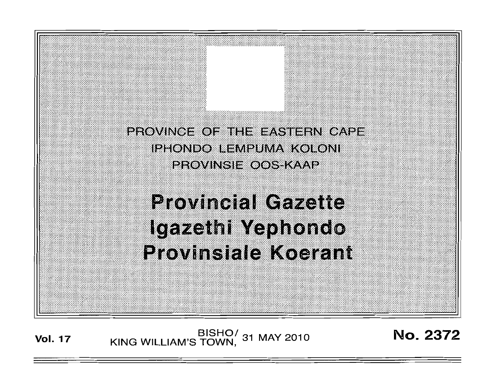PROVINCE OF THE EASTERN CAPE **IPHONDO LEMPUMA KOLONI PROVINSIE OOS KAAP** 

# **Provincial Gazette** Igazethi Yephondo **Provinsiale Koerant**

BISHO/ 31 MAY 2010<br>KING WILLIAM'S TOWN, 31 MAY 2010 **Vol. 17** 

No. 2372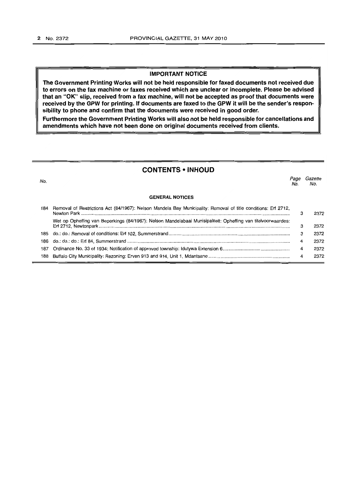#### **IMPORTANT NOTICE**

**The Government Printing Works will not be held responsible for faxed documents not received due to errors on the fax machine or faxes received which are unclear or incomplete. Please be advised that an "OK" slip, received from a fax machine, will not be accepted as proof that documents were received by the GPW for printing. If documents are faxed to the GPW it will be the sender's responsibility to phone and confirm that the documents were received in good order.** 

**Furthermore the Government Printing Works will also not be held responsible for cancellations and**  amendments which have not been done on original documents received from clients.

# **CONTENTS • INHOUD**

المستخدم المستخدم المستخدم المستخدم المستخدم المستخدم المستخدم المستخدم المستخدم المستخدم المستخدم المستخدم ال<br>المستخدم المستخدم المستخدم المستخدم المستخدم المستخدم المستخدم المستخدم المستخدم المستخدم المستخدم المستخدم ال **GENERAL NOTICES**  184 Removal of Restrictions Act (84/1967): Nelson Mandela Bay Municipality: Removal of title conditions: Erf 2712, Newton Park ................................................................................................................................................................. . Wet op Opheffing van Beperkings (84/1967); Nelson Mandelabaai Munisipaliteit: Opheffing van titelvoorwaardes: Erf 2712, Newtonpark .................................................................................................................................................. .. 185 do.: do.: Removal of conditions: Erf 102, Summerstrand ............................................................................................. . 186 do.: do.: do.: Erf 84, Summerstrand ............................................................................................................................ .. 187 Ordinance No. 33 of 1934: Notification of approved township: Idutywa Extension 6 ................................................... . 188 Buffalo City Municipality: Rezoning: Erven 913 and 914, Unit 1, Mdantsane ............................................................. .. No. No. 3 3 3 4 4 4 2372 2372 2372 2372 2372 2372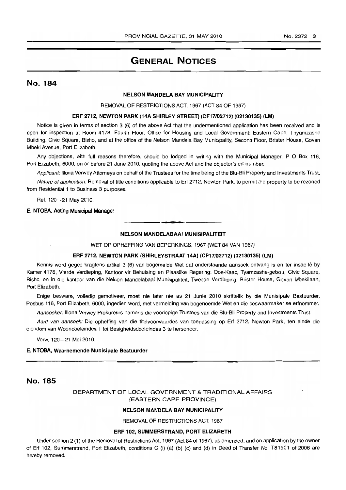# **GENERAL NOTICES**

# No. 184

#### NELSON MANDELA BAY MUNICIPALITY

REMOVAL OF RESTRICTIONS ACT. 1967 (ACT 84 OF 1967)

# ERF 2712, NEWTON PARK (14A SHIRLEY STREET) (CF17f02712) (02130135) (LM)

Notice is given in terms of section 3 (6) of the above Act that the undermentioned application has been received and is open for inspection at Room 4178. Fourth Floor. Office for Housing and Local Government: Eastern Cape. Thyamzashe Building. Civic Square. Bisho. and at the office of the Nelson Mandela Bay Municipality. Second Floor. Brister House, Govan Mbeki Avenue, Port Elizabeth.

Any objections, with full reasons therefore. should be lodged in writing with the Municipal Manager. POBox 116. Port Elizabeth. 6000. on or before 21 June 2010, quoting the above Act and the objector's erf number.

Applicant: Illona Verwey Attorneys on behalf of the Trustees for the time being of the Blu-Bli Property and Investments Trust.

Nature of application: Removal of title conditions applicable to Erf 2712, Newton Park, to permit the property to be rezoned from Residential 1 to Business 3 purposes.

Ref. 120-21 May 2010.

#### E. NTOBA, Acting Municipal Manager

#### NELSON MANDELABAAI MUNISIPALITEIT

**- .** 

WET OP OPHEFFING VAN BEPERKINGS, 1967 (WET 84 VAN 1967)

#### ERF 2712, NEWTON PARK (SHIRLEYSTRAAT 14A) (CF17/02712) (02130135) (LM)

Kennis word gegee kragtens artikel 3 (6) van bogemelde Wet dat onderstaande aansoek ontvang is en ter insae Ie by Kamer 4178, Vierde Verdieping, Kantoor vir Behuising en Plaaslike Regering: Oos-Kaap, Tyamzashe-gebou, Civic Square, Bisho, en in die kantoor van die Nelson Mandelabaai Munisipaliteit, Tweede Verdieping, Brister House, Govan Mbekilaan. Port Elizabeth.

Enige besware. volledig gemotiveer. moet nie later nie as 21 Junie 2010 skriftelik by die Munisipale Bestuurder. Posbus 116. Port Elizabeth, 6000. ingedien word. met vermelding van bogenoemde Wet en die beswaarmaker se erfnommer.

Aansoeker: Illona Verwey Prokureurs namens die voorlopige Trustees van die Blu-Bli Property and Investments Trust.

Aard van aansoek: Die opheffing van die titelvoorwaardes van toepassing op Erf 2712. Newton Park. ten einde die eiendom van Woondoeleindes 1 tot Besigheidsdoeleindes 3 te hersoneer.

Verw. 120-21 Mei 2010.

#### E. NTOBA, Waarnemende Munisipale Bestuurder

# No. 185

# DEPARTMENT OF LOCAL GOVERNMENT & TRADITIONAL AFFAIRS (EASTERN CAPE PROVINCE)

#### NELSON MANDELA BAY MUNICIPALITY

REMOVAL OF RESTRICTIONS ACT, 1967

#### ERF 102, SUMMERSTRAND, PORT ELIZABETH

Under section 2 (1) of the Removal of Restrictions Act, 1967 (Act 84 of 1967). as amended. and on application by the owner of Erf 102. Summerstrand, Port Elizabeth, conditions C (i) (a) (b) (c) and (d) in Deed of Transfer No. T81901 of 2006 are hereby removed.